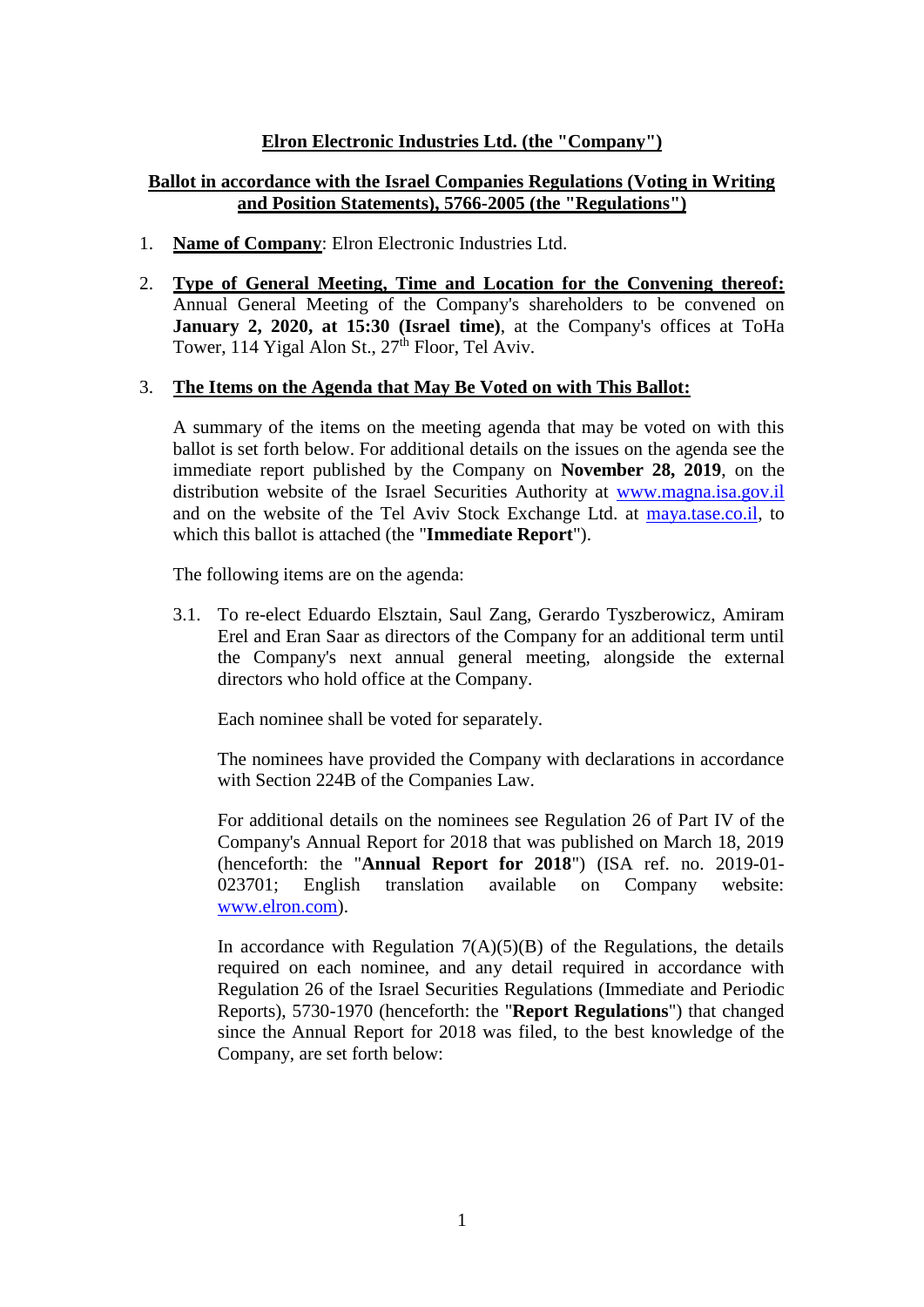## **Elron Electronic Industries Ltd. (the "Company")**

# **Ballot in accordance with the Israel Companies Regulations (Voting in Writing and Position Statements), 5766-2005 (the "Regulations")**

- 1. **Name of Company**: Elron Electronic Industries Ltd.
- 2. **Type of General Meeting, Time and Location for the Convening thereof:** Annual General Meeting of the Company's shareholders to be convened on **January 2, 2020, at 15:30 (Israel time)**, at the Company's offices at ToHa Tower, 114 Yigal Alon St.,  $27<sup>th</sup>$  Floor, Tel Aviv.

#### 3. **The Items on the Agenda that May Be Voted on with This Ballot:**

A summary of the items on the meeting agenda that may be voted on with this ballot is set forth below. For additional details on the issues on the agenda see the immediate report published by the Company on **November 28, 2019**, on the distribution website of the Israel Securities Authority at [www.magna.isa.gov.il](http://www.magna.isa.gov.il/) and on the website of the Tel Aviv Stock Exchange Ltd. at [maya.tase.co.il,](https://maya.tase.co.il/) to which this ballot is attached (the "**Immediate Report**").

The following items are on the agenda:

3.1. To re-elect Eduardo Elsztain, Saul Zang, Gerardo Tyszberowicz, Amiram Erel and Eran Saar as directors of the Company for an additional term until the Company's next annual general meeting, alongside the external directors who hold office at the Company.

Each nominee shall be voted for separately.

The nominees have provided the Company with declarations in accordance with Section 224B of the Companies Law.

For additional details on the nominees see Regulation 26 of Part IV of the Company's Annual Report for 2018 that was published on March 18, 2019 (henceforth: the "**Annual Report for 2018**") (ISA ref. no. 2019-01- 023701; English translation available on Company website: [www.elron.com\)](http://www.elron.com/).

In accordance with Regulation  $7(A)(5)(B)$  of the Regulations, the details required on each nominee, and any detail required in accordance with Regulation 26 of the Israel Securities Regulations (Immediate and Periodic Reports), 5730-1970 (henceforth: the "**Report Regulations**") that changed since the Annual Report for 2018 was filed, to the best knowledge of the Company, are set forth below: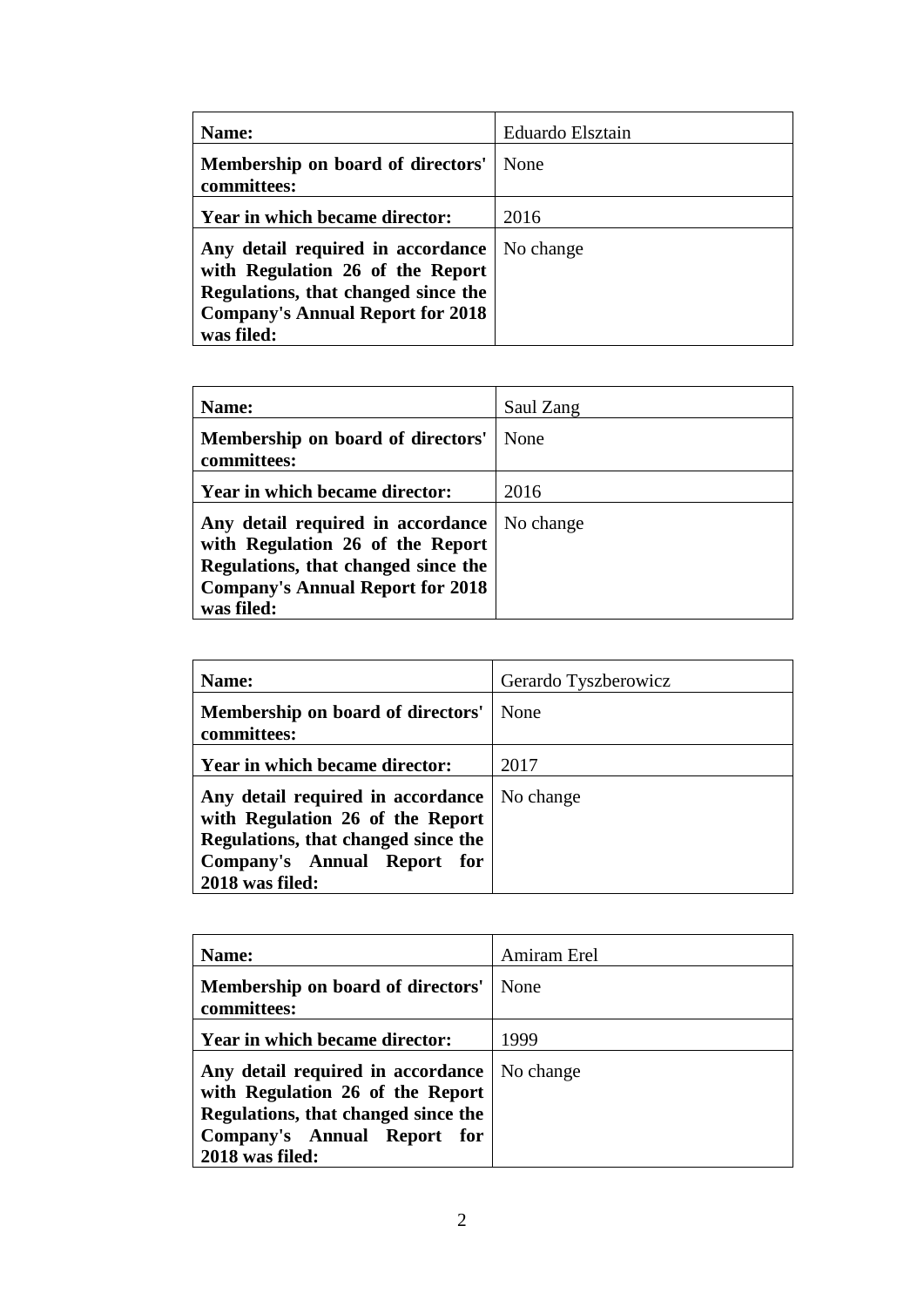| Name:                                                                                                                                                                 | Eduardo Elsztain |
|-----------------------------------------------------------------------------------------------------------------------------------------------------------------------|------------------|
| Membership on board of directors'<br>committees:                                                                                                                      | None             |
| Year in which became director:                                                                                                                                        | 2016             |
| Any detail required in accordance<br>with Regulation 26 of the Report<br>Regulations, that changed since the<br><b>Company's Annual Report for 2018</b><br>was filed: | No change        |

| Name:                                                                                                                                                                 | Saul Zang |
|-----------------------------------------------------------------------------------------------------------------------------------------------------------------------|-----------|
| Membership on board of directors'<br>committees:                                                                                                                      | None      |
| Year in which became director:                                                                                                                                        | 2016      |
| Any detail required in accordance<br>with Regulation 26 of the Report<br>Regulations, that changed since the<br><b>Company's Annual Report for 2018</b><br>was filed: | No change |

| Name:                                                                                                                                                          | Gerardo Tyszberowicz |
|----------------------------------------------------------------------------------------------------------------------------------------------------------------|----------------------|
| Membership on board of directors'<br>committees:                                                                                                               | None                 |
| Year in which became director:                                                                                                                                 | 2017                 |
| Any detail required in accordance<br>with Regulation 26 of the Report<br>Regulations, that changed since the<br>Company's Annual Report for<br>2018 was filed: | No change            |

| Name:                                                                                                                                                          | Amiram Erel |
|----------------------------------------------------------------------------------------------------------------------------------------------------------------|-------------|
| Membership on board of directors'<br>committees:                                                                                                               | None        |
| Year in which became director:                                                                                                                                 | 1999        |
| Any detail required in accordance<br>with Regulation 26 of the Report<br>Regulations, that changed since the<br>Company's Annual Report for<br>2018 was filed: | No change   |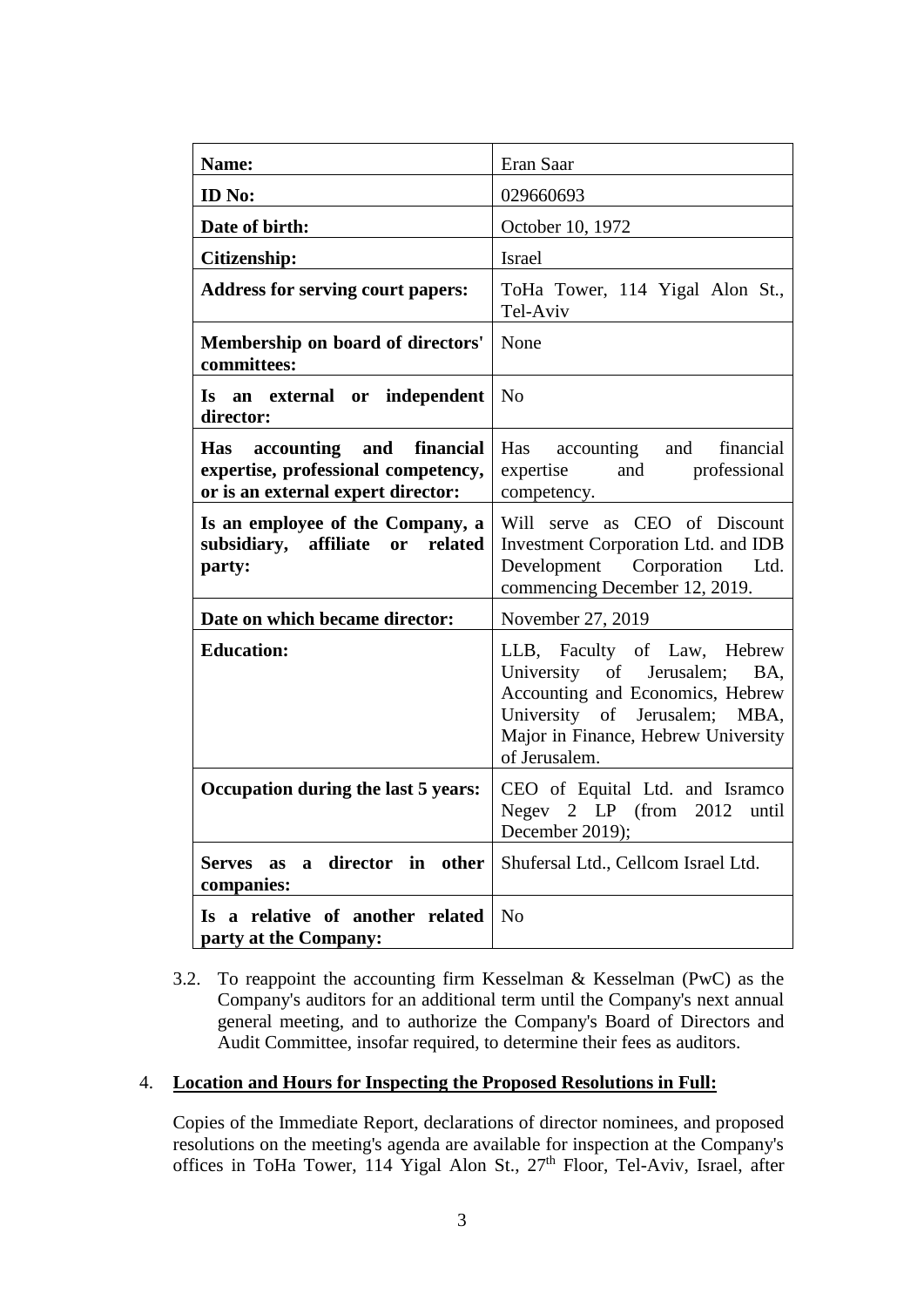| <b>Name:</b>                                                                                                 | Eran Saar                                                                                                                                                                                   |  |  |  |  |
|--------------------------------------------------------------------------------------------------------------|---------------------------------------------------------------------------------------------------------------------------------------------------------------------------------------------|--|--|--|--|
|                                                                                                              |                                                                                                                                                                                             |  |  |  |  |
| <b>ID</b> No:                                                                                                | 029660693                                                                                                                                                                                   |  |  |  |  |
| Date of birth:                                                                                               | October 10, 1972                                                                                                                                                                            |  |  |  |  |
| Citizenship:                                                                                                 | <b>Israel</b>                                                                                                                                                                               |  |  |  |  |
| <b>Address for serving court papers:</b>                                                                     | ToHa Tower, 114 Yigal Alon St.,<br>Tel-Aviv                                                                                                                                                 |  |  |  |  |
| Membership on board of directors'<br>committees:                                                             | None                                                                                                                                                                                        |  |  |  |  |
| Is an external or independent<br>director:                                                                   | No                                                                                                                                                                                          |  |  |  |  |
| Has accounting<br>and financial<br>expertise, professional competency,<br>or is an external expert director: | Has accounting and<br>financial<br>expertise and professional<br>competency.                                                                                                                |  |  |  |  |
| Is an employee of the Company, a<br>subsidiary, affiliate or related<br>party:                               | Will serve as CEO of Discount<br>Investment Corporation Ltd. and IDB<br>Development Corporation Ltd.<br>commencing December 12, 2019.                                                       |  |  |  |  |
| Date on which became director:                                                                               | November 27, 2019                                                                                                                                                                           |  |  |  |  |
| <b>Education:</b>                                                                                            | LLB, Faculty of Law, Hebrew<br>University of Jerusalem;<br>BA.<br>Accounting and Economics, Hebrew<br>University of Jerusalem; MBA,<br>Major in Finance, Hebrew University<br>of Jerusalem. |  |  |  |  |
| Occupation during the last 5 years:                                                                          | CEO of Equital Ltd. and Isramco<br>Negev $2$ LP (from $2012$ )<br>until<br>December 2019);                                                                                                  |  |  |  |  |
| director in<br>Serves as a<br>other<br>companies:                                                            | Shufersal Ltd., Cellcom Israel Ltd.                                                                                                                                                         |  |  |  |  |
| Is a relative of another related<br>party at the Company:                                                    | N <sub>o</sub>                                                                                                                                                                              |  |  |  |  |

3.2. To reappoint the accounting firm Kesselman & Kesselman (PwC) as the Company's auditors for an additional term until the Company's next annual general meeting, and to authorize the Company's Board of Directors and Audit Committee, insofar required, to determine their fees as auditors.

### 4. **Location and Hours for Inspecting the Proposed Resolutions in Full:**

Copies of the Immediate Report, declarations of director nominees, and proposed resolutions on the meeting's agenda are available for inspection at the Company's offices in ToHa Tower, 114 Yigal Alon St., 27<sup>th</sup> Floor, Tel-Aviv, Israel, after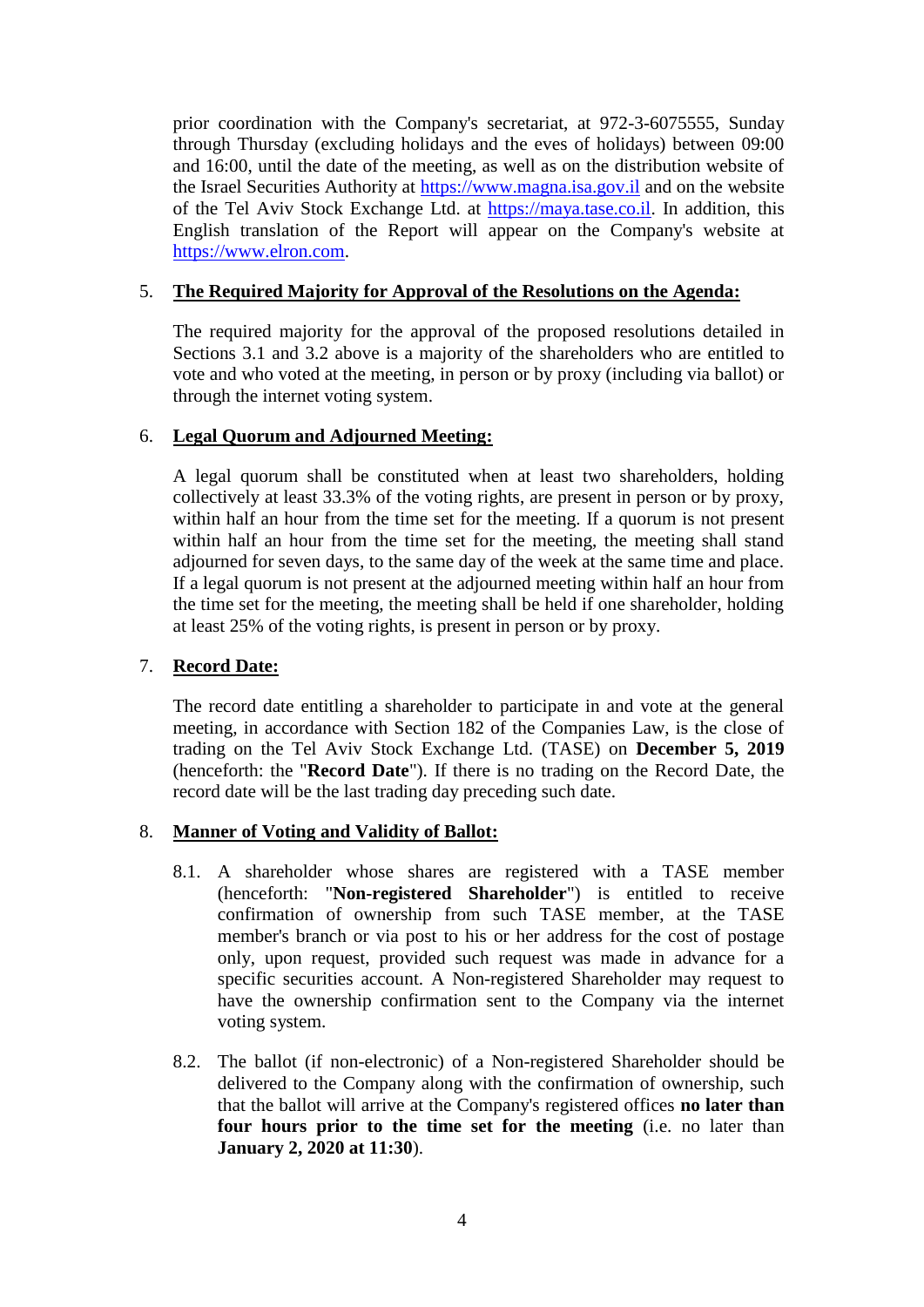prior coordination with the Company's secretariat, at 972-3-6075555, Sunday through Thursday (excluding holidays and the eves of holidays) between 09:00 and 16:00, until the date of the meeting, as well as on the distribution website of the Israel Securities Authority at [https://www.magna.isa.gov.il](https://www.magna.isa.gov.il/) and on the website of the Tel Aviv Stock Exchange Ltd. at [https://maya.tase.co.il.](https://maya.tase.co.il/) In addition, this English translation of the Report will appear on the Company's website at [https://www.elron.com.](https://www.elron.com/)

## 5. **The Required Majority for Approval of the Resolutions on the Agenda:**

The required majority for the approval of the proposed resolutions detailed in Sections 3.1 and 3.2 above is a majority of the shareholders who are entitled to vote and who voted at the meeting, in person or by proxy (including via ballot) or through the internet voting system.

## 6. **Legal Quorum and Adjourned Meeting:**

A legal quorum shall be constituted when at least two shareholders, holding collectively at least 33.3% of the voting rights, are present in person or by proxy, within half an hour from the time set for the meeting. If a quorum is not present within half an hour from the time set for the meeting, the meeting shall stand adjourned for seven days, to the same day of the week at the same time and place. If a legal quorum is not present at the adjourned meeting within half an hour from the time set for the meeting, the meeting shall be held if one shareholder, holding at least 25% of the voting rights, is present in person or by proxy.

### 7. **Record Date:**

The record date entitling a shareholder to participate in and vote at the general meeting, in accordance with Section 182 of the Companies Law, is the close of trading on the Tel Aviv Stock Exchange Ltd. (TASE) on **December 5, 2019** (henceforth: the "**Record Date**"). If there is no trading on the Record Date, the record date will be the last trading day preceding such date.

### 8. **Manner of Voting and Validity of Ballot:**

- 8.1. A shareholder whose shares are registered with a TASE member (henceforth: "**Non-registered Shareholder**") is entitled to receive confirmation of ownership from such TASE member, at the TASE member's branch or via post to his or her address for the cost of postage only, upon request, provided such request was made in advance for a specific securities account. A Non-registered Shareholder may request to have the ownership confirmation sent to the Company via the internet voting system.
- 8.2. The ballot (if non-electronic) of a Non-registered Shareholder should be delivered to the Company along with the confirmation of ownership, such that the ballot will arrive at the Company's registered offices **no later than four hours prior to the time set for the meeting** (i.e. no later than **January 2, 2020 at 11:30**).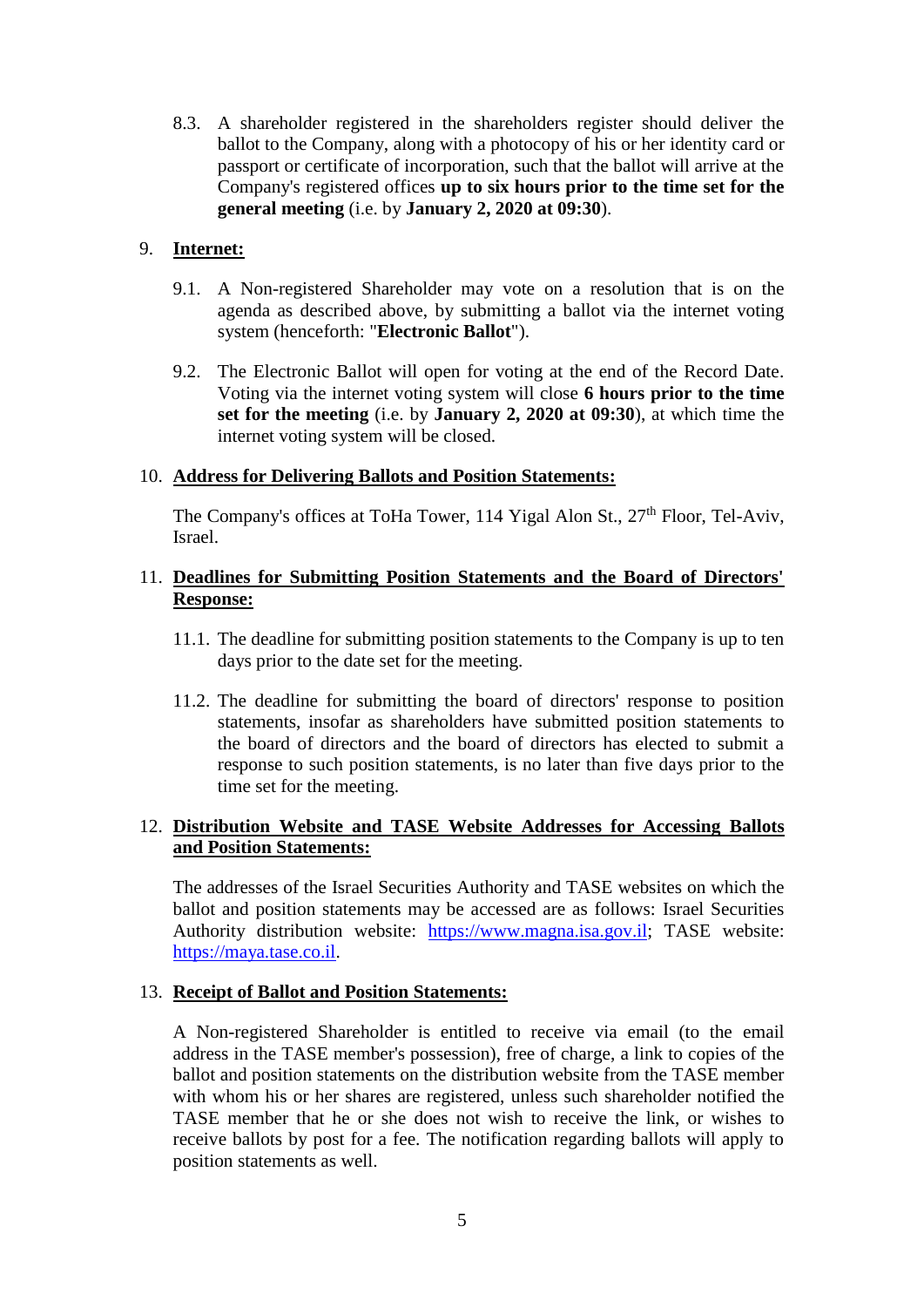8.3. A shareholder registered in the shareholders register should deliver the ballot to the Company, along with a photocopy of his or her identity card or passport or certificate of incorporation, such that the ballot will arrive at the Company's registered offices **up to six hours prior to the time set for the general meeting** (i.e. by **January 2, 2020 at 09:30**).

## 9. **Internet:**

- 9.1. A Non-registered Shareholder may vote on a resolution that is on the agenda as described above, by submitting a ballot via the internet voting system (henceforth: "**Electronic Ballot**").
- 9.2. The Electronic Ballot will open for voting at the end of the Record Date. Voting via the internet voting system will close **6 hours prior to the time set for the meeting** (i.e. by **January 2, 2020 at 09:30**), at which time the internet voting system will be closed.

### 10. **Address for Delivering Ballots and Position Statements:**

The Company's offices at ToHa Tower, 114 Yigal Alon St.,  $27<sup>th</sup>$  Floor, Tel-Aviv, Israel.

## 11. **Deadlines for Submitting Position Statements and the Board of Directors' Response:**

- 11.1. The deadline for submitting position statements to the Company is up to ten days prior to the date set for the meeting.
- 11.2. The deadline for submitting the board of directors' response to position statements, insofar as shareholders have submitted position statements to the board of directors and the board of directors has elected to submit a response to such position statements, is no later than five days prior to the time set for the meeting.

# 12. **Distribution Website and TASE Website Addresses for Accessing Ballots and Position Statements:**

The addresses of the Israel Securities Authority and TASE websites on which the ballot and position statements may be accessed are as follows: Israel Securities Authority distribution website: [https://www.magna.isa.gov.il;](https://www.magna.isa.gov.il/) TASE website: [https://maya.tase.co.il.](https://maya.tase.co.il/)

### 13. **Receipt of Ballot and Position Statements:**

A Non-registered Shareholder is entitled to receive via email (to the email address in the TASE member's possession), free of charge, a link to copies of the ballot and position statements on the distribution website from the TASE member with whom his or her shares are registered, unless such shareholder notified the TASE member that he or she does not wish to receive the link, or wishes to receive ballots by post for a fee. The notification regarding ballots will apply to position statements as well.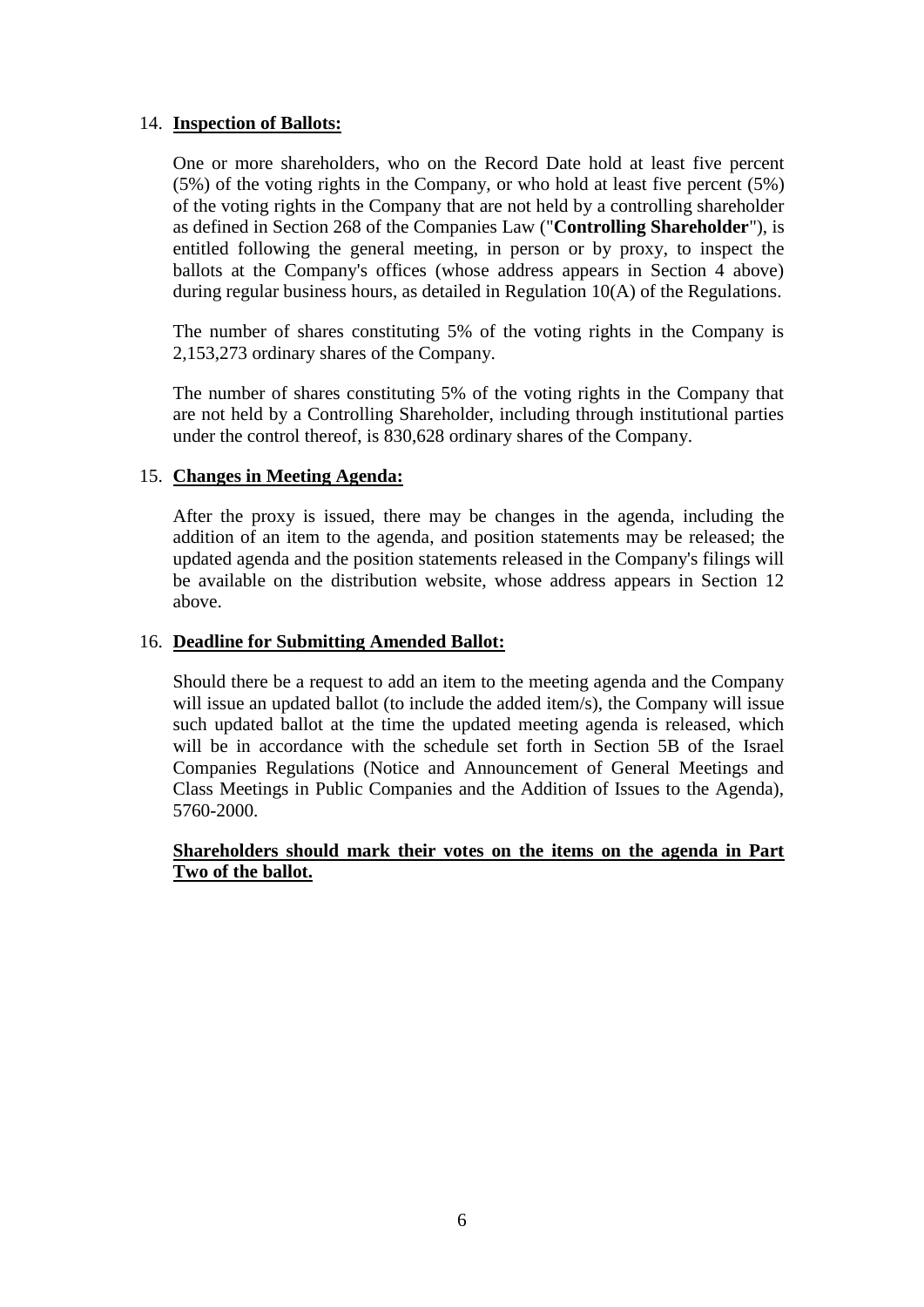## 14. **Inspection of Ballots:**

One or more shareholders, who on the Record Date hold at least five percent (5%) of the voting rights in the Company, or who hold at least five percent (5%) of the voting rights in the Company that are not held by a controlling shareholder as defined in Section 268 of the Companies Law ("**Controlling Shareholder**"), is entitled following the general meeting, in person or by proxy, to inspect the ballots at the Company's offices (whose address appears in Section 4 above) during regular business hours, as detailed in Regulation 10(A) of the Regulations.

The number of shares constituting 5% of the voting rights in the Company is 2,153,273 ordinary shares of the Company.

The number of shares constituting 5% of the voting rights in the Company that are not held by a Controlling Shareholder, including through institutional parties under the control thereof, is 830,628 ordinary shares of the Company.

## 15. **Changes in Meeting Agenda:**

After the proxy is issued, there may be changes in the agenda, including the addition of an item to the agenda, and position statements may be released; the updated agenda and the position statements released in the Company's filings will be available on the distribution website, whose address appears in Section 12 above.

### 16. **Deadline for Submitting Amended Ballot:**

Should there be a request to add an item to the meeting agenda and the Company will issue an updated ballot (to include the added item/s), the Company will issue such updated ballot at the time the updated meeting agenda is released, which will be in accordance with the schedule set forth in Section 5B of the Israel Companies Regulations (Notice and Announcement of General Meetings and Class Meetings in Public Companies and the Addition of Issues to the Agenda), 5760-2000.

## **Shareholders should mark their votes on the items on the agenda in Part Two of the ballot.**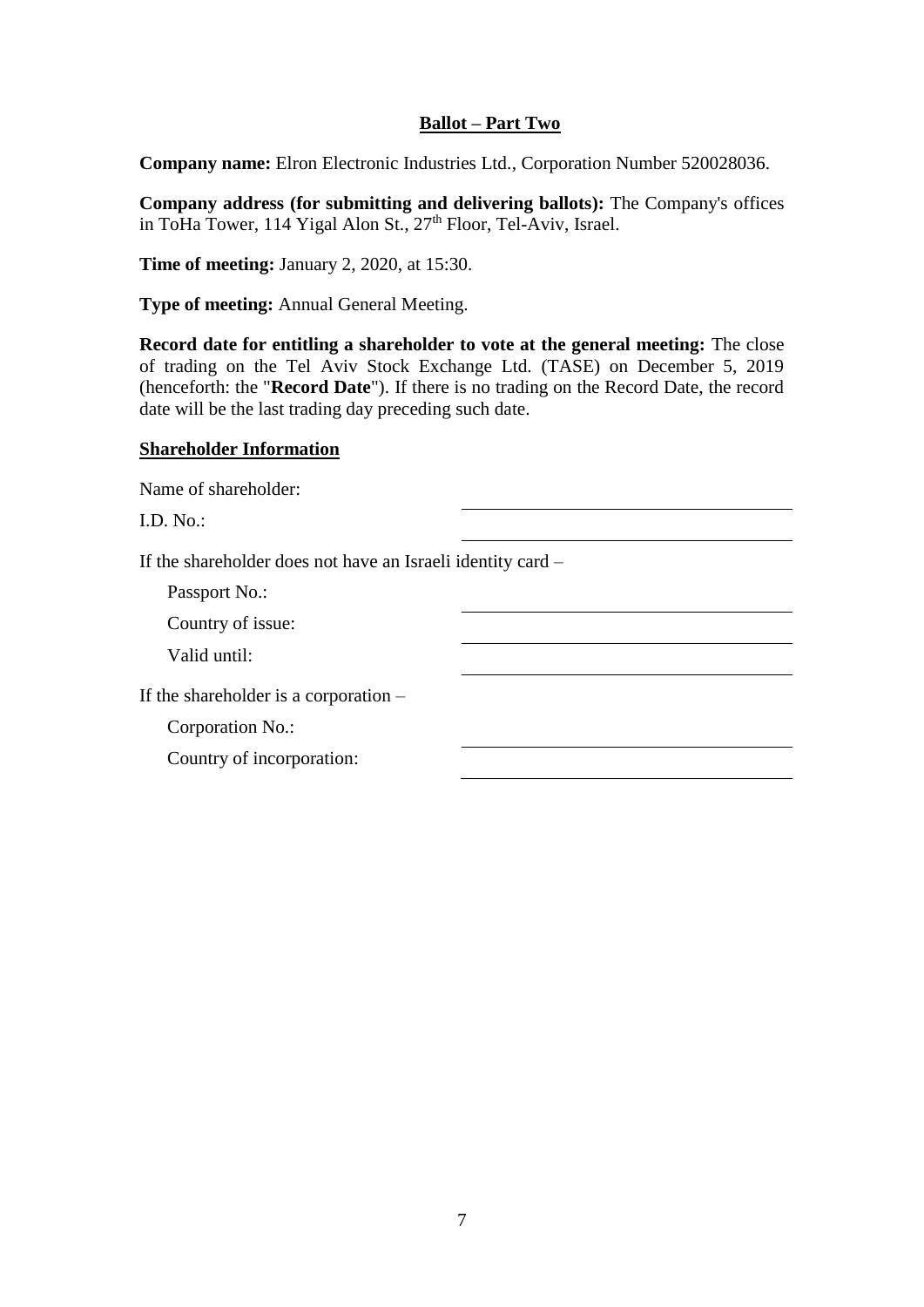## **Ballot – Part Two**

**Company name:** Elron Electronic Industries Ltd., Corporation Number 520028036.

**Company address (for submitting and delivering ballots):** The Company's offices in ToHa Tower, 114 Yigal Alon St.,  $27<sup>th</sup>$  Floor, Tel-Aviv, Israel.

**Time of meeting:** January 2, 2020, at 15:30.

**Type of meeting:** Annual General Meeting.

**Record date for entitling a shareholder to vote at the general meeting:** The close of trading on the Tel Aviv Stock Exchange Ltd. (TASE) on December 5, 2019 (henceforth: the "**Record Date**"). If there is no trading on the Record Date, the record date will be the last trading day preceding such date.

#### **Shareholder Information**

Name of shareholder:

I.D. No.:

If the shareholder does not have an Israeli identity card –

Passport No.:

Country of issue:

Valid until:

If the shareholder is a corporation –

Corporation No.:

Country of incorporation: